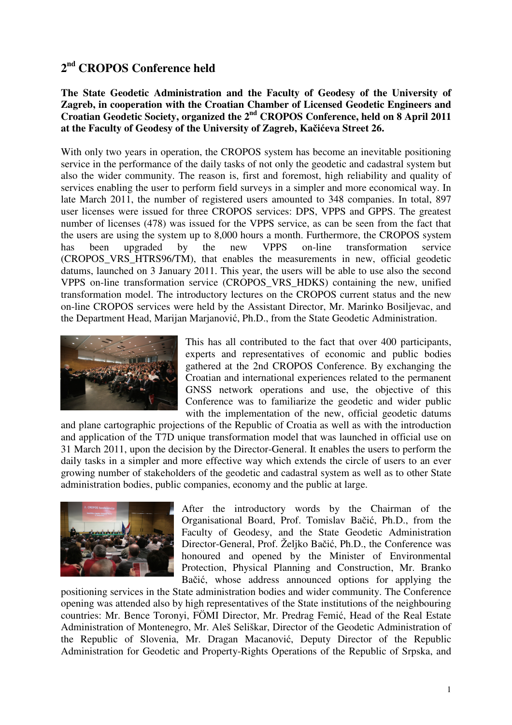# **2 nd CROPOS Conference held**

**The State Geodetic Administration and the Faculty of Geodesy of the University of Zagreb, in cooperation with the Croatian Chamber of Licensed Geodetic Engineers and Croatian Geodetic Society, organized the 2nd CROPOS Conference, held on 8 April 2011 at the Faculty of Geodesy of the University of Zagreb, Ka**č**i**ć**eva Street 26.** 

With only two years in operation, the CROPOS system has become an inevitable positioning service in the performance of the daily tasks of not only the geodetic and cadastral system but also the wider community. The reason is, first and foremost, high reliability and quality of services enabling the user to perform field surveys in a simpler and more economical way. In late March 2011, the number of registered users amounted to 348 companies. In total, 897 user licenses were issued for three CROPOS services: DPS, VPPS and GPPS. The greatest number of licenses (478) was issued for the VPPS service, as can be seen from the fact that the users are using the system up to 8,000 hours a month. Furthermore, the CROPOS system has been upgraded by the new VPPS on-line transformation service (CROPOS\_VRS\_HTRS96/TM), that enables the measurements in new, official geodetic datums, launched on 3 January 2011. This year, the users will be able to use also the second VPPS on-line transformation service (CROPOS\_VRS\_HDKS) containing the new, unified transformation model. The introductory lectures on the CROPOS current status and the new on-line CROPOS services were held by the Assistant Director, Mr. Marinko Bosiljevac, and the Department Head, Marijan Marjanović, Ph.D., from the State Geodetic Administration.



This has all contributed to the fact that over 400 participants, experts and representatives of economic and public bodies gathered at the 2nd CROPOS Conference. By exchanging the Croatian and international experiences related to the permanent GNSS network operations and use, the objective of this Conference was to familiarize the geodetic and wider public with the implementation of the new, official geodetic datums

and plane cartographic projections of the Republic of Croatia as well as with the introduction and application of the T7D unique transformation model that was launched in official use on 31 March 2011, upon the decision by the Director-General. It enables the users to perform the daily tasks in a simpler and more effective way which extends the circle of users to an ever growing number of stakeholders of the geodetic and cadastral system as well as to other State administration bodies, public companies, economy and the public at large.



After the introductory words by the Chairman of the Organisational Board, Prof. Tomislav Bačić, Ph.D., from the Faculty of Geodesy, and the State Geodetic Administration Director-General, Prof. Željko Bačić, Ph.D., the Conference was honoured and opened by the Minister of Environmental Protection, Physical Planning and Construction, Mr. Branko Bačić, whose address announced options for applying the

positioning services in the State administration bodies and wider community. The Conference opening was attended also by high representatives of the State institutions of the neighbouring countries: Mr. Bence Toronyi, FÖMI Director, Mr. Predrag Femić, Head of the Real Estate Administration of Montenegro, Mr. Aleš Seliškar, Director of the Geodetic Administration of the Republic of Slovenia, Mr. Dragan Macanović, Deputy Director of the Republic Administration for Geodetic and Property-Rights Operations of the Republic of Srpska, and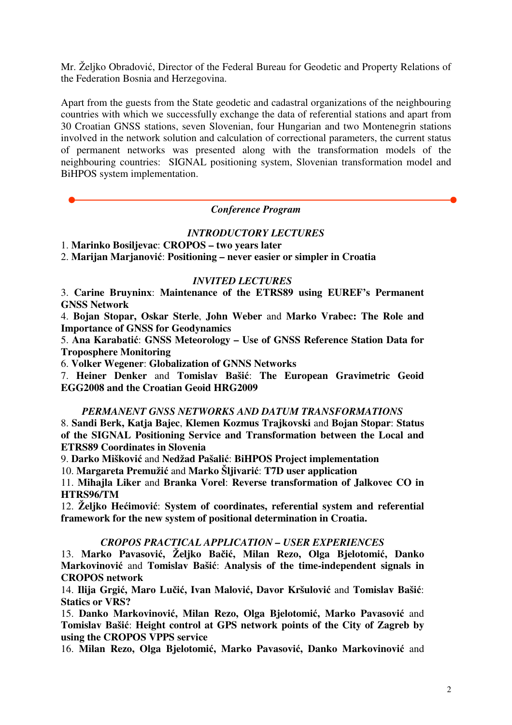Mr. Željko Obradović, Director of the Federal Bureau for Geodetic and Property Relations of the Federation Bosnia and Herzegovina.

Apart from the guests from the State geodetic and cadastral organizations of the neighbouring countries with which we successfully exchange the data of referential stations and apart from 30 Croatian GNSS stations, seven Slovenian, four Hungarian and two Montenegrin stations involved in the network solution and calculation of correctional parameters, the current status of permanent networks was presented along with the transformation models of the neighbouring countries: SIGNAL positioning system, Slovenian transformation model and BiHPOS system implementation.

# *Conference Program*

### *INTRODUCTORY LECTURES*

1. **Marinko Bosiljevac**: **CROPOS – two years later** 

2. **Marijan Marjanovi**ć: **Positioning – never easier or simpler in Croatia** 

#### *INVITED LECTURES*

3. **Carine Bruyninx**: **Maintenance of the ETRS89 using EUREF's Permanent GNSS Network**

4. **Bojan Stopar, Oskar Sterle**, **John Weber** and **Marko Vrabec: The Role and Importance of GNSS for Geodynamics** 

5. **Ana Karabati**ć: **GNSS Meteorology – Use of GNSS Reference Station Data for Troposphere Monitoring** 

6. **Volker Wegener**: **Globalization of GNNS Networks** 

7. **Heiner Denker** and **Tomislav Baši**ć: **The European Gravimetric Geoid EGG2008 and the Croatian Geoid HRG2009** 

# *PERMANENT GNSS NETWORKS AND DATUM TRANSFORMATIONS*

8. **Sandi Berk, Katja Bajec**, **Klemen Kozmus Trajkovski** and **Bojan Stopar**: **Status of the SIGNAL Positioning Service and Transformation between the Local and ETRS89 Coordinates in Slovenia** 

9. **Darko Miškovi**ć and **Nedžad Pašali**ć: **BiHPOS Project implementation**

10. **Margareta Premuži**ć and **Marko Šljivari**ć: **T7D user application**

11. **Mihajla Liker** and **Branka Vorel**: **Reverse transformation of Jalkovec CO in HTRS96/TM** 

12. **Željko He**ć**imovi**ć: **System of coordinates, referential system and referential framework for the new system of positional determination in Croatia.** 

# *CROPOS PRACTICAL APPLICATION – USER EXPERIENCES*

13. **Marko Pavasovi**ć**, Željko Ba**č**i**ć**, Milan Rezo, Olga Bjelotomi**ć**, Danko Markovinovi**ć and **Tomislav Baši**ć: **Analysis of the time-independent signals in CROPOS network** 

14. **Ilija Grgi**ć**, Maro Lu**č**i**ć**, Ivan Malovi**ć**, Davor Kršulovi**ć and **Tomislav Baši**ć: **Statics or VRS?** 

15. **Danko Markovinovi**ć**, Milan Rezo, Olga Bjelotomi**ć**, Marko Pavasovi**ć and **Tomislav Baši**ć: **Height control at GPS network points of the City of Zagreb by using the CROPOS VPPS service** 

16. **Milan Rezo, Olga Bjelotomi**ć**, Marko Pavasovi**ć**, Danko Markovinovi**ć and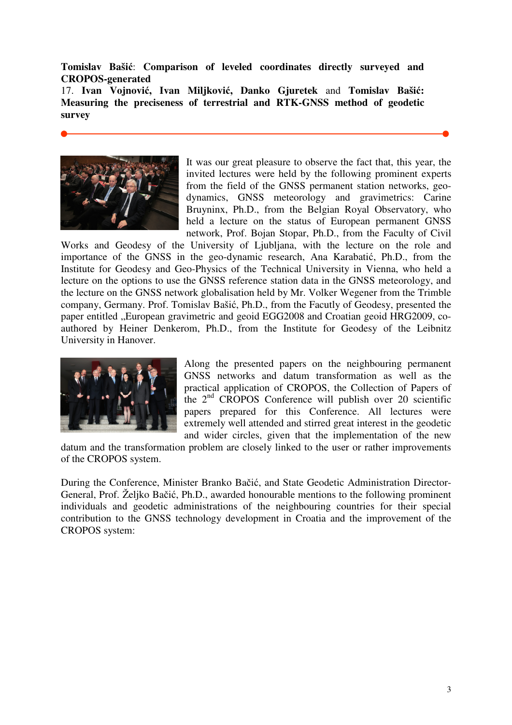**Tomislav Baši**ć: **Comparison of leveled coordinates directly surveyed and CROPOS-generated** 

17. **Ivan Vojnovi**ć**, Ivan Miljkovi**ć**, Danko Gjuretek** and **Tomislav Baši**ć**: Measuring the preciseness of terrestrial and RTK-GNSS method of geodetic survey** 



It was our great pleasure to observe the fact that, this year, the invited lectures were held by the following prominent experts from the field of the GNSS permanent station networks, geodynamics, GNSS meteorology and gravimetrics: Carine Bruyninx, Ph.D., from the Belgian Royal Observatory, who held a lecture on the status of European permanent GNSS network, Prof. Bojan Stopar, Ph.D., from the Faculty of Civil

Works and Geodesy of the University of Ljubljana, with the lecture on the role and importance of the GNSS in the geo-dynamic research, Ana Karabatić, Ph.D., from the Institute for Geodesy and Geo-Physics of the Technical University in Vienna, who held a lecture on the options to use the GNSS reference station data in the GNSS meteorology, and the lecture on the GNSS network globalisation held by Mr. Volker Wegener from the Trimble company, Germany. Prof. Tomislav Bašić, Ph.D., from the Facutly of Geodesy, presented the paper entitled . European gravimetric and geoid EGG2008 and Croatian geoid HRG2009, coauthored by Heiner Denkerom, Ph.D., from the Institute for Geodesy of the Leibnitz University in Hanover.



Along the presented papers on the neighbouring permanent GNSS networks and datum transformation as well as the practical application of CROPOS, the Collection of Papers of the  $2<sup>nd</sup>$  CROPOS Conference will publish over 20 scientific papers prepared for this Conference. All lectures were extremely well attended and stirred great interest in the geodetic and wider circles, given that the implementation of the new

datum and the transformation problem are closely linked to the user or rather improvements of the CROPOS system.

During the Conference, Minister Branko Bačić, and State Geodetic Administration Director-General, Prof. Željko Bačić, Ph.D., awarded honourable mentions to the following prominent individuals and geodetic administrations of the neighbouring countries for their special contribution to the GNSS technology development in Croatia and the improvement of the CROPOS system: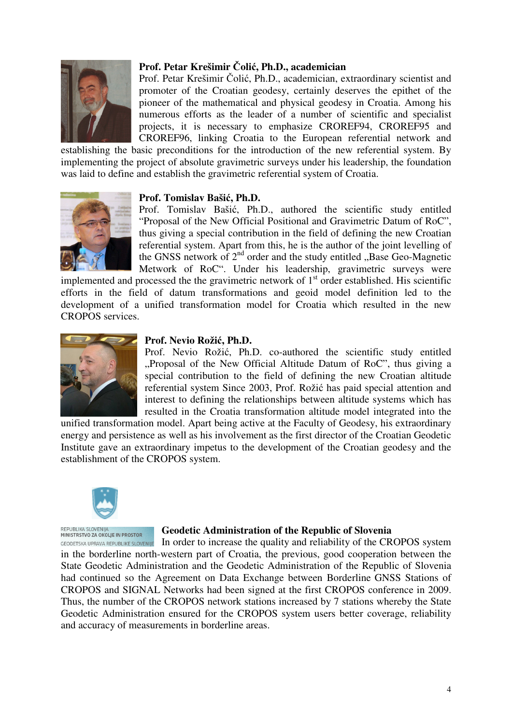

# **Prof. Petar Krešimir** Č**oli**ć**, Ph.D., academician**

Prof. Petar Krešimir Čolić, Ph.D., academician, extraordinary scientist and promoter of the Croatian geodesy, certainly deserves the epithet of the pioneer of the mathematical and physical geodesy in Croatia. Among his numerous efforts as the leader of a number of scientific and specialist projects, it is necessary to emphasize CROREF94, CROREF95 and CROREF96, linking Croatia to the European referential network and

establishing the basic preconditions for the introduction of the new referential system. By implementing the project of absolute gravimetric surveys under his leadership, the foundation was laid to define and establish the gravimetric referential system of Croatia.

#### **Prof. Tomislav Baši**ć**, Ph.D.**

Prof. Tomislav Bašić, Ph.D., authored the scientific study entitled "Proposal of the New Official Positional and Gravimetric Datum of RoC", thus giving a special contribution in the field of defining the new Croatian referential system. Apart from this, he is the author of the joint levelling of the GNSS network of  $2<sup>nd</sup>$  order and the study entitled "Base Geo-Magnetic Metwork of RoC". Under his leadership, gravimetric surveys were

implemented and processed the the gravimetric network of  $1<sup>st</sup>$  order established. His scientific efforts in the field of datum transformations and geoid model definition led to the development of a unified transformation model for Croatia which resulted in the new CROPOS services.



#### **Prof. Nevio Roži**ć**, Ph.D.**

Prof. Nevio Rožić, Ph.D. co-authored the scientific study entitled "Proposal of the New Official Altitude Datum of RoC", thus giving a special contribution to the field of defining the new Croatian altitude referential system Since 2003, Prof. Rožić has paid special attention and interest to defining the relationships between altitude systems which has resulted in the Croatia transformation altitude model integrated into the

unified transformation model. Apart being active at the Faculty of Geodesy, his extraordinary energy and persistence as well as his involvement as the first director of the Croatian Geodetic Institute gave an extraordinary impetus to the development of the Croatian geodesy and the establishment of the CROPOS system.



REPUBLIKA SLOVENIJA<br>MINISTRSTVO ZA OKOLIE IN PROSTOR

#### **Geodetic Administration of the Republic of Slovenia**

In order to increase the quality and reliability of the CROPOS system GEODETSKA UPRAVA REPUBLIKE SLOVENIJE in the borderline north-western part of Croatia, the previous, good cooperation between the State Geodetic Administration and the Geodetic Administration of the Republic of Slovenia had continued so the Agreement on Data Exchange between Borderline GNSS Stations of CROPOS and SIGNAL Networks had been signed at the first CROPOS conference in 2009. Thus, the number of the CROPOS network stations increased by 7 stations whereby the State Geodetic Administration ensured for the CROPOS system users better coverage, reliability and accuracy of measurements in borderline areas.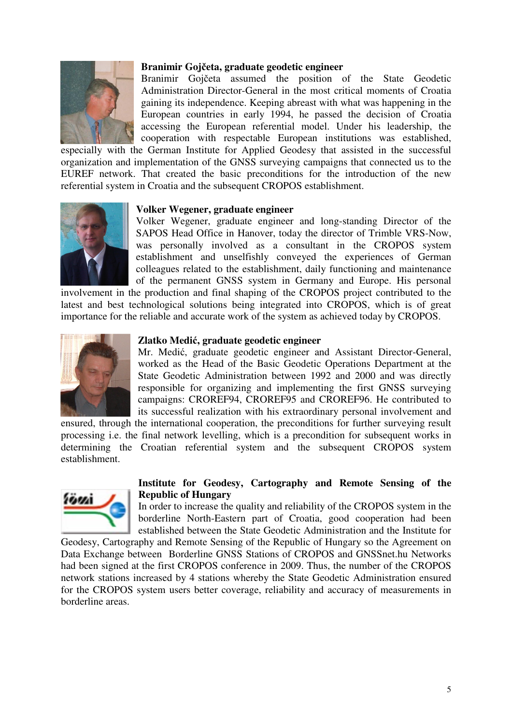

# **Branimir Goj**č**eta, graduate geodetic engineer**

Branimir Gojčeta assumed the position of the State Geodetic Administration Director-General in the most critical moments of Croatia gaining its independence. Keeping abreast with what was happening in the European countries in early 1994, he passed the decision of Croatia accessing the European referential model. Under his leadership, the cooperation with respectable European institutions was established,

especially with the German Institute for Applied Geodesy that assisted in the successful organization and implementation of the GNSS surveying campaigns that connected us to the EUREF network. That created the basic preconditions for the introduction of the new referential system in Croatia and the subsequent CROPOS establishment.



#### **Volker Wegener, graduate engineer**

Volker Wegener, graduate engineer and long-standing Director of the SAPOS Head Office in Hanover, today the director of Trimble VRS-Now, was personally involved as a consultant in the CROPOS system establishment and unselfishly conveyed the experiences of German colleagues related to the establishment, daily functioning and maintenance of the permanent GNSS system in Germany and Europe. His personal

involvement in the production and final shaping of the CROPOS project contributed to the latest and best technological solutions being integrated into CROPOS, which is of great importance for the reliable and accurate work of the system as achieved today by CROPOS.



### **Zlatko Medi**ć**, graduate geodetic engineer**

Mr. Medić, graduate geodetic engineer and Assistant Director-General, worked as the Head of the Basic Geodetic Operations Department at the State Geodetic Administration between 1992 and 2000 and was directly responsible for organizing and implementing the first GNSS surveying campaigns: CROREF94, CROREF95 and CROREF96. He contributed to its successful realization with his extraordinary personal involvement and

ensured, through the international cooperation, the preconditions for further surveying result processing i.e. the final network levelling, which is a precondition for subsequent works in determining the Croatian referential system and the subsequent CROPOS system establishment.



# **Institute for Geodesy, Cartography and Remote Sensing of the Republic of Hungary**

In order to increase the quality and reliability of the CROPOS system in the borderline North-Eastern part of Croatia, good cooperation had been established between the State Geodetic Administration and the Institute for

Geodesy, Cartography and Remote Sensing of the Republic of Hungary so the Agreement on Data Exchange between Borderline GNSS Stations of CROPOS and GNSSnet.hu Networks had been signed at the first CROPOS conference in 2009. Thus, the number of the CROPOS network stations increased by 4 stations whereby the State Geodetic Administration ensured for the CROPOS system users better coverage, reliability and accuracy of measurements in borderline areas.